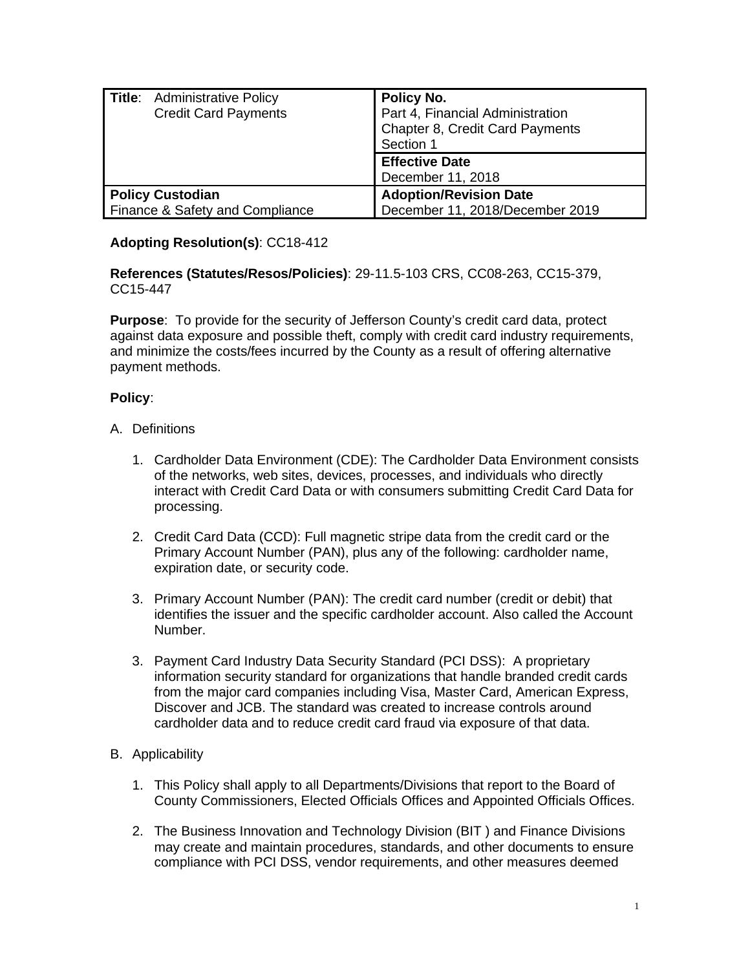| Title: Administrative Policy<br><b>Credit Card Payments</b> | Policy No.<br>Part 4, Financial Administration<br>Chapter 8, Credit Card Payments<br>Section 1 |
|-------------------------------------------------------------|------------------------------------------------------------------------------------------------|
|                                                             | <b>Effective Date</b><br>December 11, 2018                                                     |
| <b>Policy Custodian</b><br>Finance & Safety and Compliance  | <b>Adoption/Revision Date</b><br>December 11, 2018/December 2019                               |

## **Adopting Resolution(s)**: CC18-412

**References (Statutes/Resos/Policies)**: 29-11.5-103 CRS, CC08-263, CC15-379, CC15-447

**Purpose**: To provide for the security of Jefferson County's credit card data, protect against data exposure and possible theft, comply with credit card industry requirements, and minimize the costs/fees incurred by the County as a result of offering alternative payment methods.

## **Policy**:

- A. Definitions
	- 1. Cardholder Data Environment (CDE): The Cardholder Data Environment consists of the networks, web sites, devices, processes, and individuals who directly interact with Credit Card Data or with consumers submitting Credit Card Data for processing.
	- 2. Credit Card Data (CCD): Full magnetic stripe data from the credit card or the Primary Account Number (PAN), plus any of the following: cardholder name, expiration date, or security code.
	- 3. Primary Account Number (PAN): The credit card number (credit or debit) that identifies the issuer and the specific cardholder account. Also called the Account Number.
	- 3. Payment Card Industry Data Security Standard (PCI DSS): A proprietary information security standard for organizations that handle branded credit cards from the major card companies including Visa, Master Card, American Express, Discover and JCB. The standard was created to increase controls around cardholder data and to reduce credit card fraud via exposure of that data.
- B. Applicability
	- 1. This Policy shall apply to all Departments/Divisions that report to the Board of County Commissioners, Elected Officials Offices and Appointed Officials Offices.
	- 2. The Business Innovation and Technology Division (BIT ) and Finance Divisions may create and maintain procedures, standards, and other documents to ensure compliance with PCI DSS, vendor requirements, and other measures deemed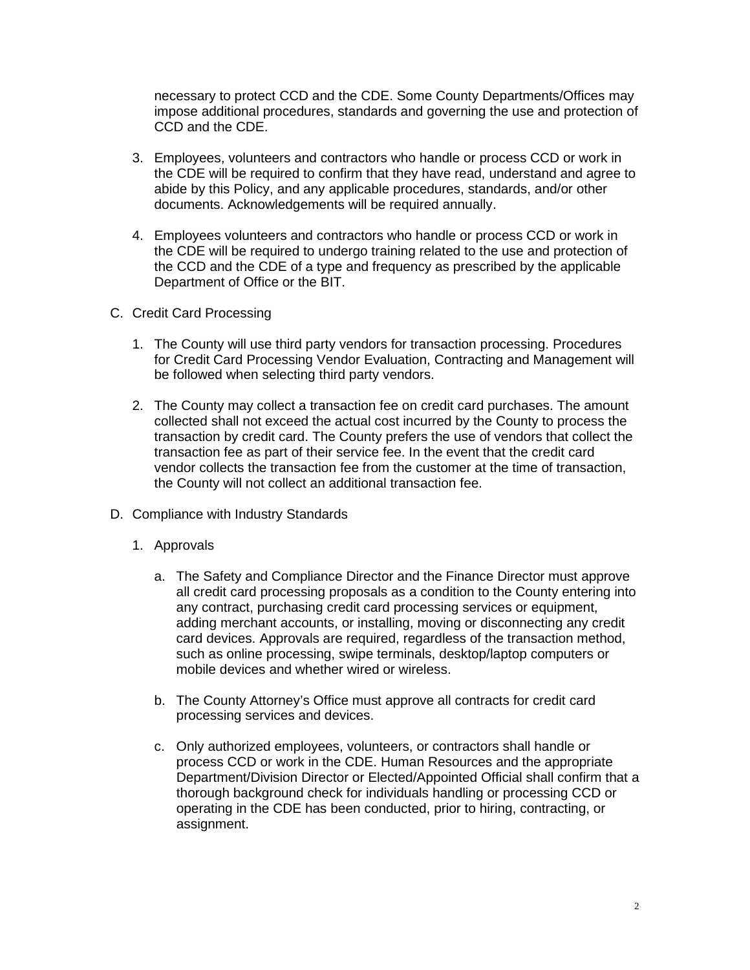necessary to protect CCD and the CDE. Some County Departments/Offices may impose additional procedures, standards and governing the use and protection of CCD and the CDE.

- 3. Employees, volunteers and contractors who handle or process CCD or work in the CDE will be required to confirm that they have read, understand and agree to abide by this Policy, and any applicable procedures, standards, and/or other documents. Acknowledgements will be required annually.
- 4. Employees volunteers and contractors who handle or process CCD or work in the CDE will be required to undergo training related to the use and protection of the CCD and the CDE of a type and frequency as prescribed by the applicable Department of Office or the BIT.
- C. Credit Card Processing
	- 1. The County will use third party vendors for transaction processing. Procedures for Credit Card Processing Vendor Evaluation, Contracting and Management will be followed when selecting third party vendors.
	- 2. The County may collect a transaction fee on credit card purchases. The amount collected shall not exceed the actual cost incurred by the County to process the transaction by credit card. The County prefers the use of vendors that collect the transaction fee as part of their service fee. In the event that the credit card vendor collects the transaction fee from the customer at the time of transaction, the County will not collect an additional transaction fee.
- D. Compliance with Industry Standards
	- 1. Approvals
		- a. The Safety and Compliance Director and the Finance Director must approve all credit card processing proposals as a condition to the County entering into any contract, purchasing credit card processing services or equipment, adding merchant accounts, or installing, moving or disconnecting any credit card devices. Approvals are required, regardless of the transaction method, such as online processing, swipe terminals, desktop/laptop computers or mobile devices and whether wired or wireless.
		- b. The County Attorney's Office must approve all contracts for credit card processing services and devices.
		- c. Only authorized employees, volunteers, or contractors shall handle or process CCD or work in the CDE. Human Resources and the appropriate Department/Division Director or Elected/Appointed Official shall confirm that a thorough background check for individuals handling or processing CCD or operating in the CDE has been conducted, prior to hiring, contracting, or assignment.